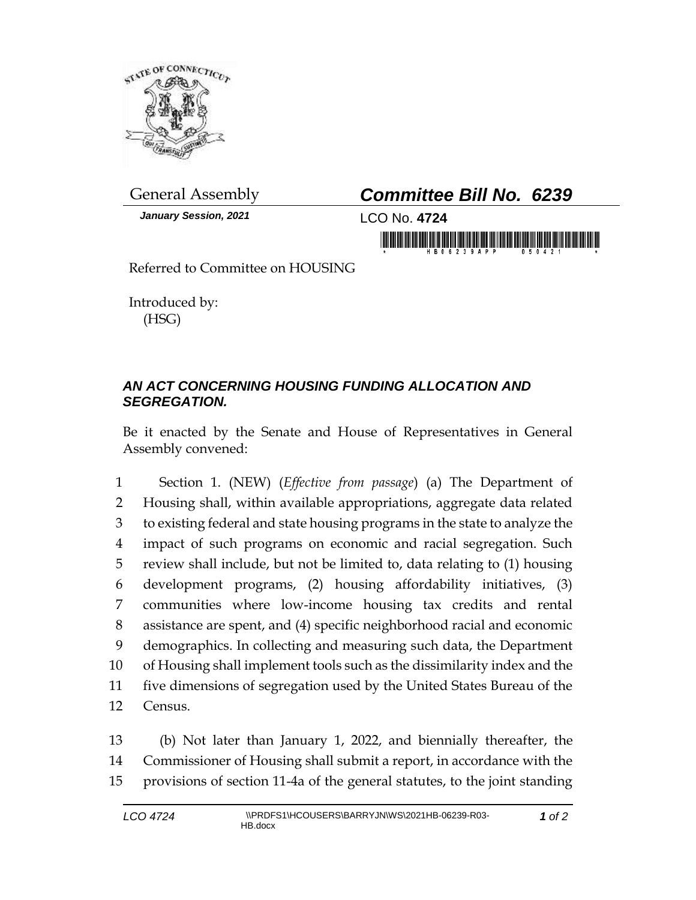

*January Session, 2021* LCO No. **4724**

## General Assembly *Committee Bill No. 6239*

in mananatik bilinininin bilan malitininin

Referred to Committee on HOUSING

Introduced by: (HSG)

## *AN ACT CONCERNING HOUSING FUNDING ALLOCATION AND SEGREGATION.*

Be it enacted by the Senate and House of Representatives in General Assembly convened:

 Section 1. (NEW) (*Effective from passage*) (a) The Department of Housing shall, within available appropriations, aggregate data related to existing federal and state housing programs in the state to analyze the impact of such programs on economic and racial segregation. Such review shall include, but not be limited to, data relating to (1) housing development programs, (2) housing affordability initiatives, (3) communities where low-income housing tax credits and rental assistance are spent, and (4) specific neighborhood racial and economic demographics. In collecting and measuring such data, the Department of Housing shall implement tools such as the dissimilarity index and the five dimensions of segregation used by the United States Bureau of the 12 Census.

13 (b) Not later than January 1, 2022, and biennially thereafter, the 14 Commissioner of Housing shall submit a report, in accordance with the 15 provisions of section 11-4a of the general statutes, to the joint standing